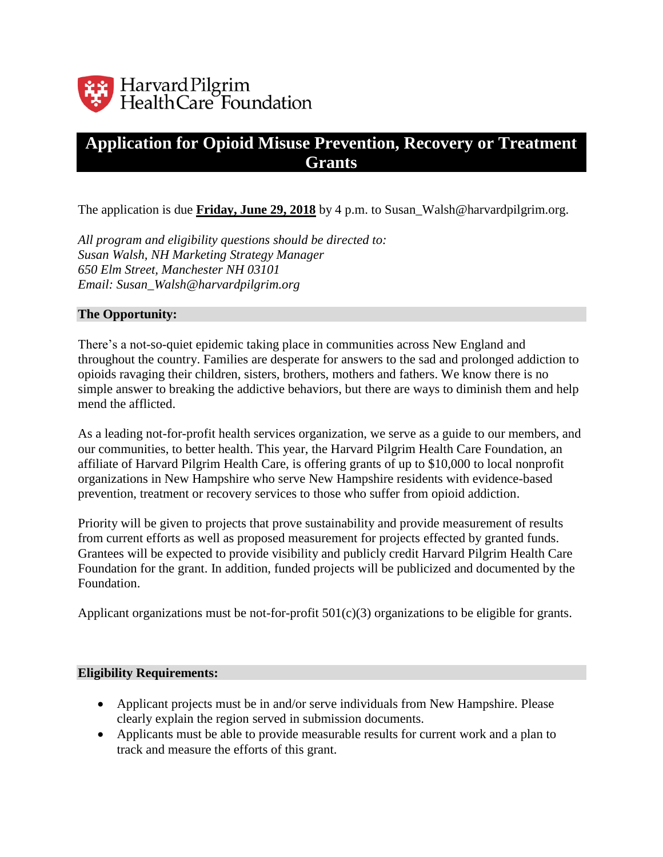

# **Application for Opioid Misuse Prevention, Recovery or Treatment Grants**

The application is due **Friday, June 29, 2018** by 4 p.m. to Susan\_Walsh@harvardpilgrim.org.

*All program and eligibility questions should be directed to: Susan Walsh, NH Marketing Strategy Manager 650 Elm Street, Manchester NH 03101 Email: Susan\_Walsh@harvardpilgrim.org*

#### **The Opportunity:**

There's a not-so-quiet epidemic taking place in communities across New England and throughout the country. Families are desperate for answers to the sad and prolonged addiction to opioids ravaging their children, sisters, brothers, mothers and fathers. We know there is no simple answer to breaking the addictive behaviors, but there are ways to diminish them and help mend the afflicted.

As a leading not-for-profit health services organization, we serve as a guide to our members, and our communities, to better health. This year, the Harvard Pilgrim Health Care Foundation, an affiliate of Harvard Pilgrim Health Care, is offering grants of up to \$10,000 to local nonprofit organizations in New Hampshire who serve New Hampshire residents with evidence-based prevention, treatment or recovery services to those who suffer from opioid addiction.

Priority will be given to projects that prove sustainability and provide measurement of results from current efforts as well as proposed measurement for projects effected by granted funds. Grantees will be expected to provide visibility and publicly credit Harvard Pilgrim Health Care Foundation for the grant. In addition, funded projects will be publicized and documented by the Foundation.

Applicant organizations must be not-for-profit  $501(c)(3)$  organizations to be eligible for grants.

#### **Eligibility Requirements:**

- Applicant projects must be in and/or serve individuals from New Hampshire. Please clearly explain the region served in submission documents.
- Applicants must be able to provide measurable results for current work and a plan to track and measure the efforts of this grant.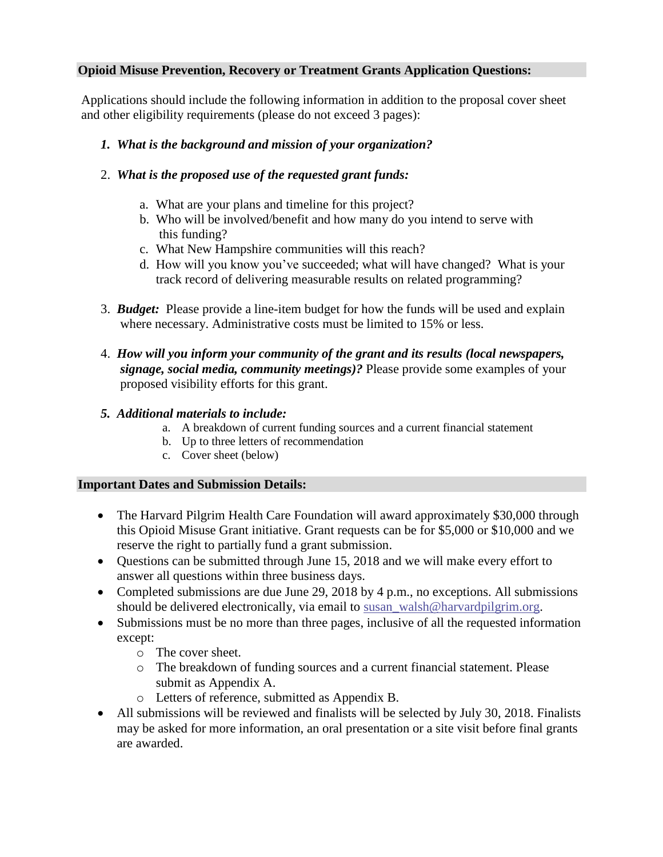### **Opioid Misuse Prevention, Recovery or Treatment Grants Application Questions:**

Applications should include the following information in addition to the proposal cover sheet and other eligibility requirements (please do not exceed 3 pages):

# *1. What is the background and mission of your organization?*

# 2. *What is the proposed use of the requested grant funds:*

- a. What are your plans and timeline for this project?
- b. Who will be involved/benefit and how many do you intend to serve with this funding?
- c. What New Hampshire communities will this reach?
- d. How will you know you've succeeded; what will have changed? What is your track record of delivering measurable results on related programming?
- 3. *Budget:* Please provide a line-item budget for how the funds will be used and explain where necessary. Administrative costs must be limited to 15% or less.
- 4. *How will you inform your community of the grant and its results (local newspapers, signage, social media, community meetings)?* Please provide some examples of your proposed visibility efforts for this grant.
- *5. Additional materials to include:*
	- a. A breakdown of current funding sources and a current financial statement
	- b. Up to three letters of recommendation
	- c. Cover sheet (below)

#### **Important Dates and Submission Details:**

- The Harvard Pilgrim Health Care Foundation will award approximately \$30,000 through this Opioid Misuse Grant initiative. Grant requests can be for \$5,000 or \$10,000 and we reserve the right to partially fund a grant submission.
- Questions can be submitted through June 15, 2018 and we will make every effort to answer all questions within three business days.
- Completed submissions are due June 29, 2018 by 4 p.m., no exceptions. All submissions should be delivered electronically, via email to [susan\\_walsh@harvardpilgrim.org.](mailto:susan_walsh@harvardpilgrim.org)
- Submissions must be no more than three pages, inclusive of all the requested information except:
	- o The cover sheet.
	- o The breakdown of funding sources and a current financial statement. Please submit as Appendix A.
	- o Letters of reference, submitted as Appendix B.
- All submissions will be reviewed and finalists will be selected by July 30, 2018. Finalists may be asked for more information, an oral presentation or a site visit before final grants are awarded.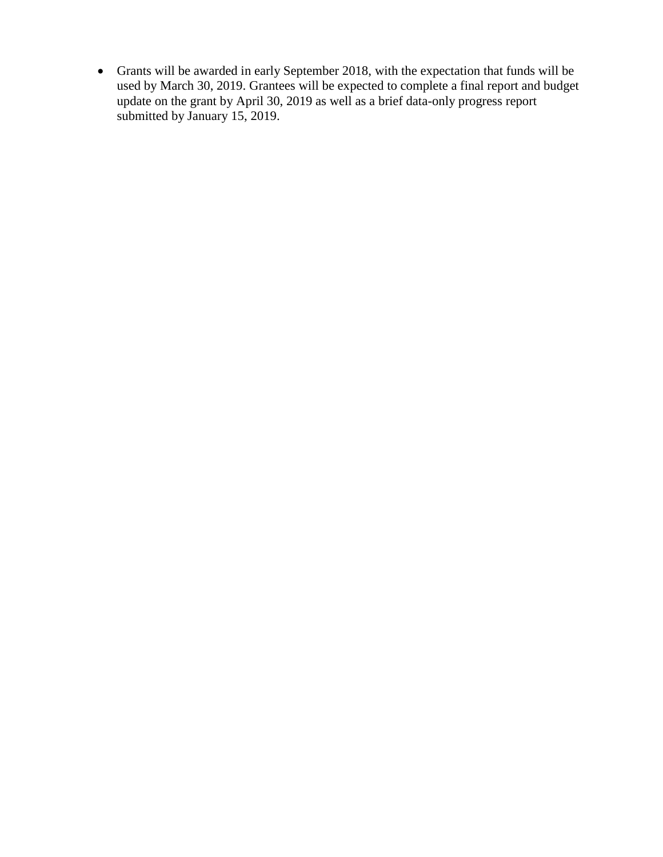• Grants will be awarded in early September 2018, with the expectation that funds will be used by March 30, 2019. Grantees will be expected to complete a final report and budget update on the grant by April 30, 2019 as well as a brief data-only progress report submitted by January 15, 2019.